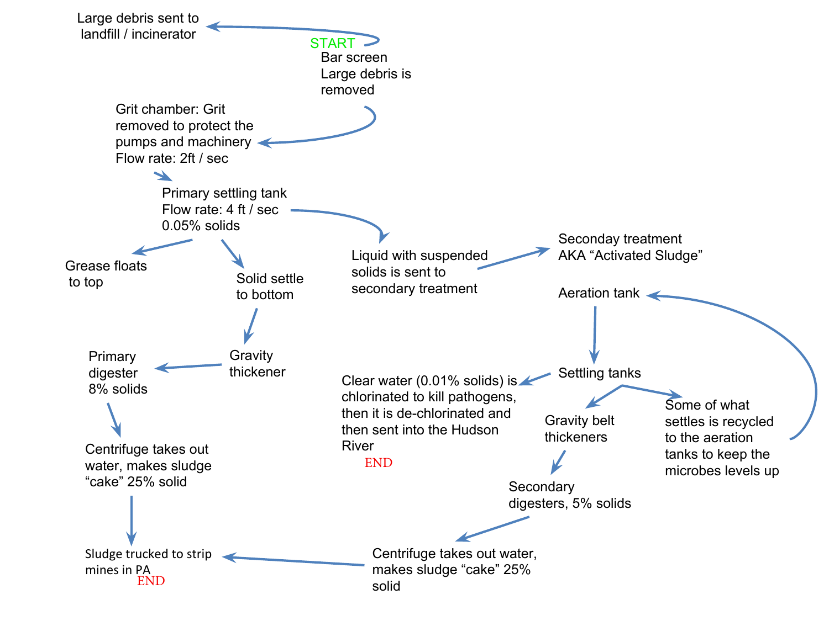